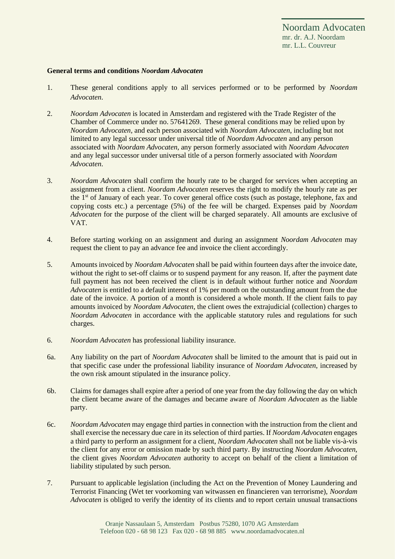Noordam Advocaten mr. dr. A.J. Noordam mr. L.L. Couvreur

## **General terms and conditions** *Noordam Advocaten*

- 1. These general conditions apply to all services performed or to be performed by *Noordam Advocaten*.
- 2. *Noordam Advocaten* is located in Amsterdam and registered with the Trade Register of the Chamber of Commerce under no. 57641269. These general conditions may be relied upon by *Noordam Advocaten,* and each person associated with *Noordam Advocaten*, including but not limited to any legal successor under universal title of *Noordam Advocaten* and any person associated with *Noordam Advocaten*, any person formerly associated with *Noordam Advocaten* and any legal successor under universal title of a person formerly associated with *Noordam Advocaten*.
- 3. *Noordam Advocaten* shall confirm the hourly rate to be charged for services when accepting an assignment from a client. *Noordam Advocaten* reserves the right to modify the hourly rate as per the 1st of January of each year. To cover general office costs (such as postage, telephone, fax and copying costs etc.) a percentage (5%) of the fee will be charged. Expenses paid by *Noordam Advocaten* for the purpose of the client will be charged separately. All amounts are exclusive of VAT.
- 4. Before starting working on an assignment and during an assignment *Noordam Advocaten* may request the client to pay an advance fee and invoice the client accordingly.
- 5. Amounts invoiced by *Noordam Advocaten* shall be paid within fourteen days after the invoice date, without the right to set-off claims or to suspend payment for any reason. If, after the payment date full payment has not been received the client is in default without further notice and *Noordam Advocaten* is entitled to a default interest of 1% per month on the outstanding amount from the due date of the invoice. A portion of a month is considered a whole month. If the client fails to pay amounts invoiced by *Noordam Advocaten*, the client owes the extrajudicial (collection) charges to *Noordam Advocaten* in accordance with the applicable statutory rules and regulations for such charges.
- 6. *Noordam Advocaten* has professional liability insurance.
- 6a. Any liability on the part of *Noordam Advocaten* shall be limited to the amount that is paid out in that specific case under the professional liability insurance of *Noordam Advocaten*, increased by the own risk amount stipulated in the insurance policy.
- 6b. Claims for damages shall expire after a period of one year from the day following the day on which the client became aware of the damages and became aware of *Noordam Advocaten* as the liable party.
- 6c. *Noordam Advocaten* may engage third parties in connection with the instruction from the client and shall exercise the necessary due care in its selection of third parties. If *Noordam Advocaten* engages a third party to perform an assignment for a client, *Noordam Advocaten* shall not be liable vis-à-vis the client for any error or omission made by such third party. By instructing *Noordam Advocaten*, the client gives *Noordam Advocaten* authority to accept on behalf of the client a limitation of liability stipulated by such person.
- 7. Pursuant to applicable legislation (including the Act on the Prevention of Money Laundering and Terrorist Financing (Wet ter voorkoming van witwassen en financieren van terrorisme), *Noordam Advocaten* is obliged to verify the identity of its clients and to report certain unusual transactions